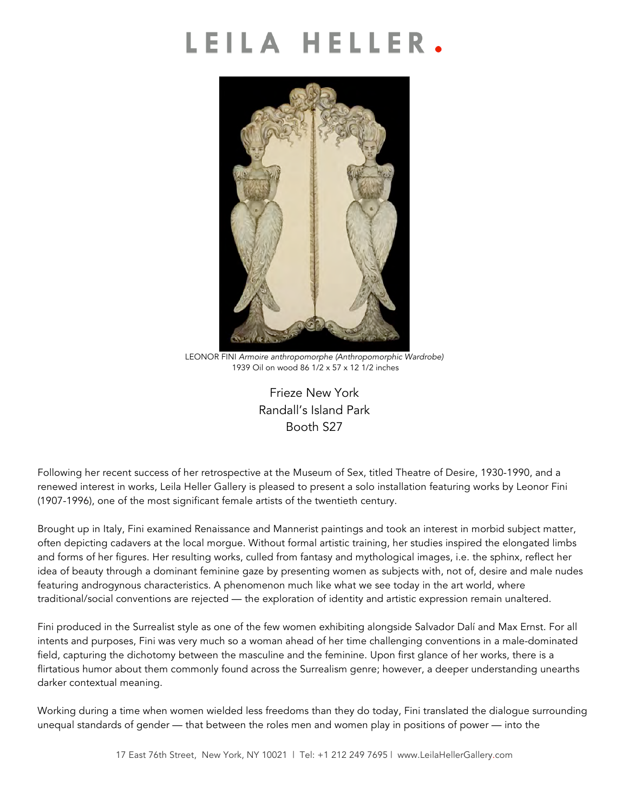# LEILA HELLER.



LEONOR FINI *Armoire anthropomorphe (Anthropomorphic Wardrobe)* 1939 Oil on wood 86 1/2 x 57 x 12 1/2 inches

Frieze New York Randall's Island Park Booth S27

Following her recent success of her retrospective at the Museum of Sex, titled Theatre of Desire, 1930-1990, and a renewed interest in works, Leila Heller Gallery is pleased to present a solo installation featuring works by Leonor Fini (1907-1996), one of the most significant female artists of the twentieth century.

Brought up in Italy, Fini examined Renaissance and Mannerist paintings and took an interest in morbid subject matter, often depicting cadavers at the local morgue. Without formal artistic training, her studies inspired the elongated limbs and forms of her figures. Her resulting works, culled from fantasy and mythological images, i.e. the sphinx, reflect her idea of beauty through a dominant feminine gaze by presenting women as subjects with, not of, desire and male nudes featuring androgynous characteristics. A phenomenon much like what we see today in the art world, where traditional/social conventions are rejected — the exploration of identity and artistic expression remain unaltered.

Fini produced in the Surrealist style as one of the few women exhibiting alongside Salvador Dalí and Max Ernst. For all intents and purposes, Fini was very much so a woman ahead of her time challenging conventions in a male-dominated field, capturing the dichotomy between the masculine and the feminine. Upon first glance of her works, there is a flirtatious humor about them commonly found across the Surrealism genre; however, a deeper understanding unearths darker contextual meaning.

Working during a time when women wielded less freedoms than they do today, Fini translated the dialogue surrounding unequal standards of gender — that between the roles men and women play in positions of power — into the